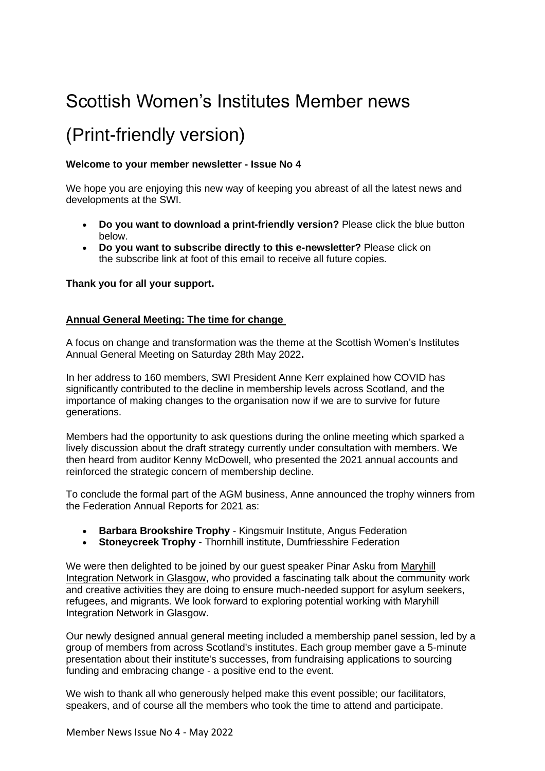# Scottish Women's Institutes Member news

# (Print-friendly version)

## **Welcome to your member newsletter - Issue No 4**

We hope you are enjoying this new way of keeping you abreast of all the latest news and developments at the SWI.

- **Do you want to download a print-friendly version?** Please click the blue button below.
- **Do you want to subscribe directly to this e-newsletter?** Please click on the subscribe link at foot of this email to receive all future copies.

## **Thank you for all your support.**

## **Annual General Meeting: The time for change**

A focus on change and transformation was the theme at the Scottish Women's Institutes Annual General Meeting on Saturday 28th May 2022**.**

In her address to 160 members, SWI President Anne Kerr explained how COVID has significantly contributed to the decline in membership levels across Scotland, and the importance of making changes to the organisation now if we are to survive for future generations.

Members had the opportunity to ask questions during the online meeting which sparked a lively discussion about the draft strategy currently under consultation with members. We then heard from auditor Kenny McDowell, who presented the 2021 annual accounts and reinforced the strategic concern of membership decline.

To conclude the formal part of the AGM business, Anne announced the trophy winners from the Federation Annual Reports for 2021 as:

- **Barbara Brookshire Trophy**  Kingsmuir Institute, Angus Federation
- **Stoneycreek Trophy**  Thornhill institute, Dumfriesshire Federation

We were then delighted to be joined by our guest speaker Pinar Asku from [Maryhill](https://maryhillintegration.org.uk/)  [Integration Network in Glasgow,](https://maryhillintegration.org.uk/) who provided a fascinating talk about the community work and creative activities they are doing to ensure much-needed support for asylum seekers, refugees, and migrants. We look forward to exploring potential working with Maryhill Integration Network in Glasgow.

Our newly designed annual general meeting included a membership panel session, led by a group of members from across Scotland's institutes. Each group member gave a 5-minute presentation about their institute's successes, from fundraising applications to sourcing funding and embracing change - a positive end to the event.

We wish to thank all who generously helped make this event possible; our facilitators, speakers, and of course all the members who took the time to attend and participate.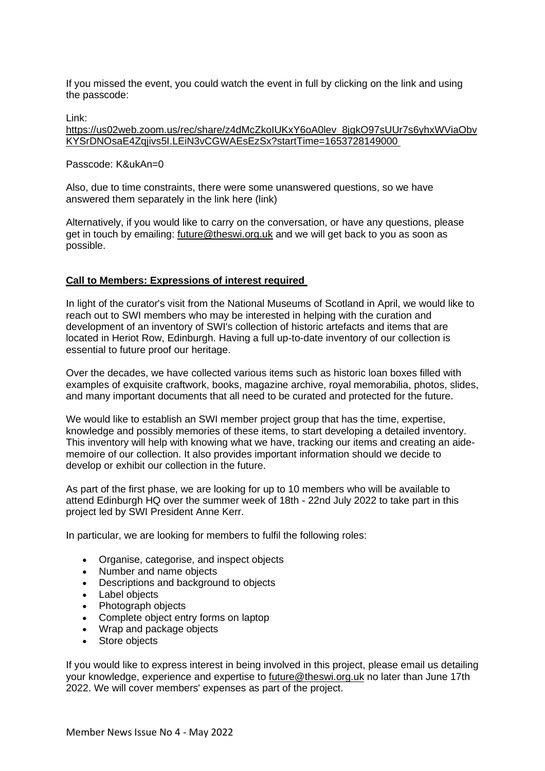If you missed the event, you could watch the event in full by clicking on the link and using the passcode:

Link:

[https://us02web.zoom.us/rec/share/z4dMcZkoIUKxY6oA0lev\\_8jgkO97sUUr7s6yhxWViaObv](https://us02web.zoom.us/rec/share/z4dMcZkoIUKxY6oA0lev_8jgkO97sUUr7s6yhxWViaObvKYSrDNOsaE4Zqjivs5I.LEiN3vCGWAEsEzSx?startTime=1653728149000 ) [KYSrDNOsaE4Zqjivs5I.LEiN3vCGWAEsEzSx?startTime=1653728149000](https://us02web.zoom.us/rec/share/z4dMcZkoIUKxY6oA0lev_8jgkO97sUUr7s6yhxWViaObvKYSrDNOsaE4Zqjivs5I.LEiN3vCGWAEsEzSx?startTime=1653728149000 )

Passcode: K&ukAn=0

Also, due to time constraints, there were some unanswered questions, so we have answered them separately in the link here (link)

Alternatively, if you would like to carry on the conversation, or have any questions, please get in touch by emailing: [future@theswi.org.uk](mailto:future@theswi.org.uk) and we will get back to you as soon as possible.

## **Call to Members: Expressions of interest required**

In light of the curator's visit from the National Museums of Scotland in April, we would like to reach out to SWI members who may be interested in helping with the curation and development of an inventory of SWI's collection of historic artefacts and items that are located in Heriot Row, Edinburgh. Having a full up-to-date inventory of our collection is essential to future proof our heritage.

Over the decades, we have collected various items such as historic loan boxes filled with examples of exquisite craftwork, books, magazine archive, royal memorabilia, photos, slides, and many important documents that all need to be curated and protected for the future.

We would like to establish an SWI member project group that has the time, expertise, knowledge and possibly memories of these items, to start developing a detailed inventory. This inventory will help with knowing what we have, tracking our items and creating an aidememoire of our collection. It also provides important information should we decide to develop or exhibit our collection in the future.

As part of the first phase, we are looking for up to 10 members who will be available to attend Edinburgh HQ over the summer week of 18th - 22nd July 2022 to take part in this project led by SWI President Anne Kerr.

In particular, we are looking for members to fulfil the following roles:

- Organise, categorise, and inspect objects
- Number and name objects
- Descriptions and background to objects
- Label objects
- Photograph objects
- Complete object entry forms on laptop
- Wrap and package objects
- Store objects

If you would like to express interest in being involved in this project, please email us detailing your knowledge, experience and expertise to [future@theswi.org.uk](mailto:future@theswi.org.uk) no later than June 17th 2022. We will cover members' expenses as part of the project.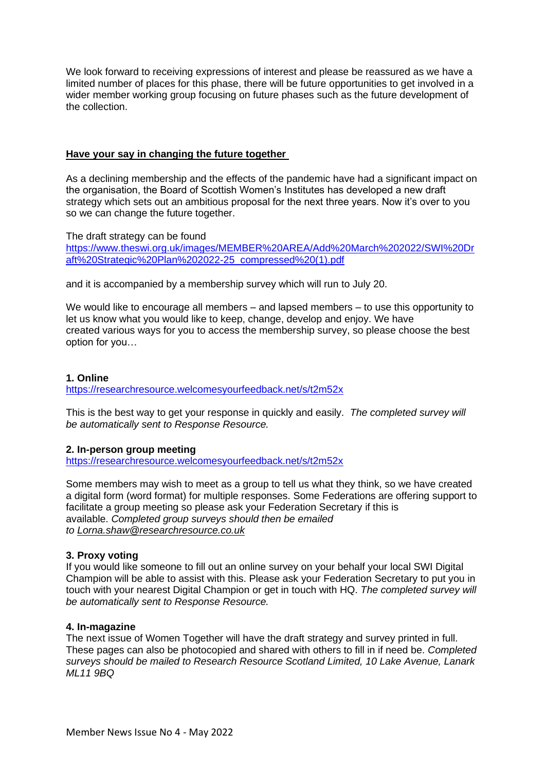We look forward to receiving expressions of interest and please be reassured as we have a limited number of places for this phase, there will be future opportunities to get involved in a wider member working group focusing on future phases such as the future development of the collection.

#### **Have your say in changing the future together**

As a declining membership and the effects of the pandemic have had a significant impact on the organisation, the Board of Scottish Women's Institutes has developed a new draft strategy which sets out an ambitious proposal for the next three years. Now it's over to you so we can change the future together.

The draft strategy can be found [https://www.theswi.org.uk/images/MEMBER%20AREA/Add%20March%202022/SWI%20Dr](https://www.theswi.org.uk/images/MEMBER%20AREA/Add%20March%202022/SWI%20Draft%20Strategic%20Plan%202022-25_compressed%20(1).pdf) [aft%20Strategic%20Plan%202022-25\\_compressed%20\(1\).pdf](https://www.theswi.org.uk/images/MEMBER%20AREA/Add%20March%202022/SWI%20Draft%20Strategic%20Plan%202022-25_compressed%20(1).pdf)

and it is accompanied by a membership survey which will run to July 20.

We would like to encourage all members – and lapsed members – to use this opportunity to let us know what you would like to keep, change, develop and enjoy. We have created various ways for you to access the membership survey, so please choose the best option for you…

#### **1. Online** <https://researchresource.welcomesyourfeedback.net/s/t2m52x>

This is the best way to get your response in quickly and easily. *The completed survey will be automatically sent to Response Resource.*

## **2. In-person group meeting**

<https://researchresource.welcomesyourfeedback.net/s/t2m52x>

Some members may wish to meet as a group to tell us what they think, so we have created a digital form (word format) for multiple responses. Some Federations are offering support to facilitate a group meeting so please ask your Federation Secretary if this is available. *Completed group surveys should then be emailed to [Lorna.shaw@researchresource.co.uk](mailto:Lorna.shaw@researchresource.co.uk)*

## **3. Proxy voting**

If you would like someone to fill out an online survey on your behalf your local SWI Digital Champion will be able to assist with this. Please ask your Federation Secretary to put you in touch with your nearest Digital Champion or get in touch with HQ. *The completed survey will be automatically sent to Response Resource.*

## **4. In-magazine**

The next issue of Women Together will have the draft strategy and survey printed in full. These pages can also be photocopied and shared with others to fill in if need be. *Completed surveys should be mailed to Research Resource Scotland Limited, 10 Lake Avenue, Lanark ML11 9BQ*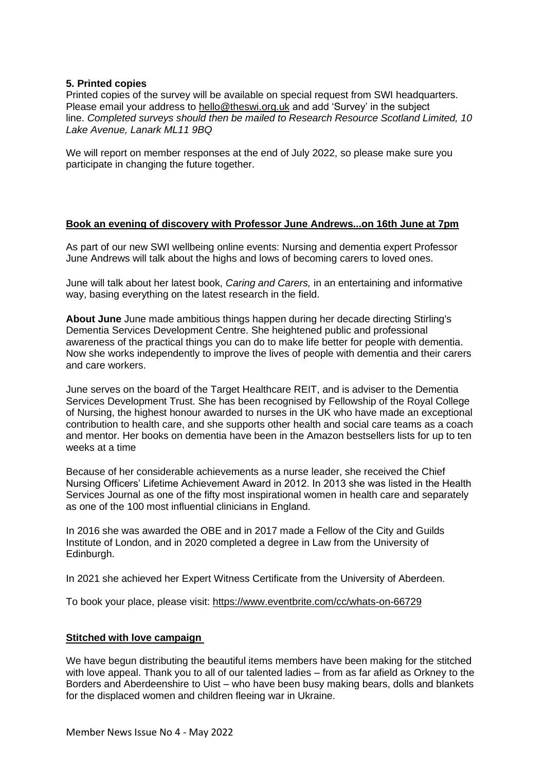## **5. Printed copies**

Printed copies of the survey will be available on special request from SWI headquarters. Please email your address to [hello@theswi.org.uk](mailto:hello@theswi.org.uk) and add 'Survey' in the subject line. *Completed surveys should then be mailed to Research Resource Scotland Limited, 10 Lake Avenue, Lanark ML11 9BQ*

We will report on member responses at the end of July 2022, so please make sure you participate in changing the future together.

#### **Book an evening of discovery with Professor June Andrews...on 16th June at 7pm**

As part of our new SWI wellbeing online events: Nursing and dementia expert Professor June Andrews will talk about the highs and lows of becoming carers to loved ones.

June will talk about her latest book, *Caring and Carers,* in an entertaining and informative way, basing everything on the latest research in the field.

**About June** June made ambitious things happen during her decade directing Stirling's Dementia Services Development Centre. She heightened public and professional awareness of the practical things you can do to make life better for people with dementia. Now she works independently to improve the lives of people with dementia and their carers and care workers.

June serves on the board of the Target Healthcare REIT, and is adviser to the Dementia Services Development Trust. She has been recognised by Fellowship of the Royal College of Nursing, the highest honour awarded to nurses in the UK who have made an exceptional contribution to health care, and she supports other health and social care teams as a coach and mentor. Her books on dementia have been in the Amazon bestsellers lists for up to ten weeks at a time

Because of her considerable achievements as a nurse leader, she received the Chief Nursing Officers' Lifetime Achievement Award in 2012. In 2013 she was listed in the Health Services Journal as one of the fifty most inspirational women in health care and separately as one of the 100 most influential clinicians in England.

In 2016 she was awarded the OBE and in 2017 made a Fellow of the City and Guilds Institute of London, and in 2020 completed a degree in Law from the University of Edinburgh.

In 2021 she achieved her Expert Witness Certificate from the University of Aberdeen.

To book your place, please visit:<https://www.eventbrite.com/cc/whats-on-66729>

## **Stitched with love campaign**

We have begun distributing the beautiful items members have been making for the stitched with love appeal. Thank you to all of our talented ladies – from as far afield as Orkney to the Borders and Aberdeenshire to Uist – who have been busy making bears, dolls and blankets for the displaced women and children fleeing war in Ukraine.